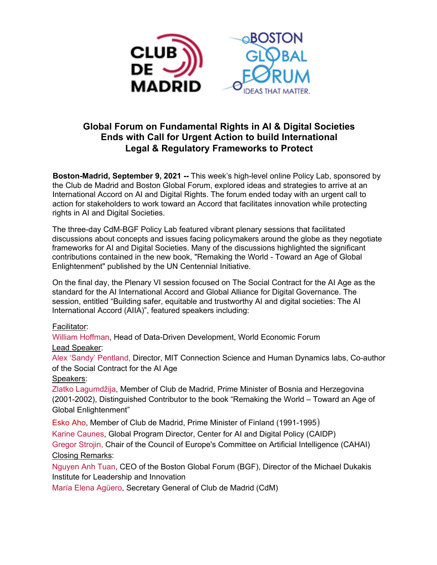

# **Global Forum on Fundamental Rights in AI & Digital Societies Ends with Call for Urgent Action to build International Legal & Regulatory Frameworks to Protect**

**Boston-Madrid, September 9, 2021 --** This week's high-level online Policy Lab, sponsored by the Club de Madrid and Boston Global Forum, explored ideas and strategies to arrive at an International Accord on AI and Digital Rights. The forum ended today with an urgent call to action for stakeholders to work toward an Accord that facilitates innovation while protecting rights in AI and Digital Societies.

The three-day CdM-BGF Policy Lab featured vibrant plenary sessions that facilitated discussions about concepts and issues facing policymakers around the globe as they negotiate frameworks for AI and Digital Societies. Many of the discussions highlighted the significant contributions contained in the new book, "Remaking the World - Toward an Age of Global Enlightenment" published by the UN Centennial Initiative.

On the final day, the Plenary VI session focused on The Social Contract for the AI Age as the standard for the AI International Accord and Global Alliance for Digital Governance. The session, entitled "Building safer, equitable and trustworthy AI and digital societies: The AI International Accord (AIIA)", featured speakers including:

## Facilitator:

William Hoffman, Head of Data-Driven Development, World Economic Forum Lead Speaker:

Alex 'Sandy' Pentland, Director, MIT Connection Science and Human Dynamics labs, Co-author of the Social Contract for the AI Age

Speakers:

Zlatko Lagumdžija, Member of Club de Madrid, Prime Minister of Bosnia and Herzegovina (2001-2002), Distinguished Contributor to the book "Remaking the World – Toward an Age of Global Enlightenment"

Esko Aho, Member of Club de Madrid, Prime Minister of Finland (1991-1995) Karine Caunes, Global Program Director, Center for AI and Digital Policy (CAIDP) Gregor Strojin, Chair of the Council of Europe's Committee on Artificial Intelligence (CAHAI) Closing Remarks:

Nguyen Anh Tuan, CEO of the Boston Global Forum (BGF), Director of the Michael Dukakis Institute for Leadership and Innovation

María Elena Agüero, Secretary General of Club de Madrid (CdM)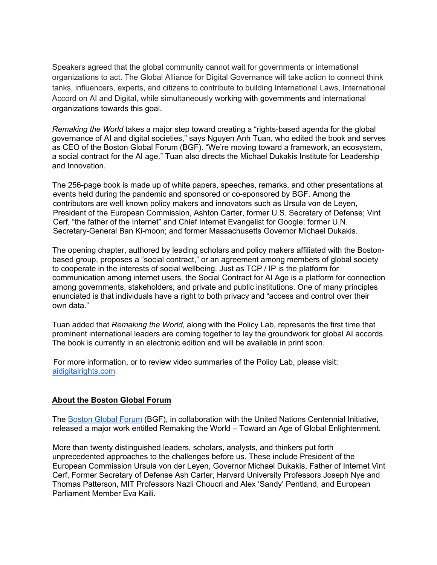Speakers agreed that the global community cannot wait for governments or international organizations to act. The Global Alliance for Digital Governance will take action to connect think tanks, influencers, experts, and citizens to contribute to building International Laws, International Accord on AI and Digital, while simultaneously working with governments and international organizations towards this goal.

*Remaking the World* takes a major step toward creating a "rights-based agenda for the global governance of AI and digital societies," says Nguyen Anh Tuan, who edited the book and serves as CEO of the Boston Global Forum (BGF). "We're moving toward a framework, an ecosystem, a social contract for the AI age." Tuan also directs the Michael Dukakis Institute for Leadership and Innovation.

The 256-page book is made up of white papers, speeches, remarks, and other presentations at events held during the pandemic and sponsored or co-sponsored by BGF. Among the contributors are well known policy makers and innovators such as Ursula von de Leyen, President of the European Commission, Ashton Carter, former U.S. Secretary of Defense; Vint Cerf, "the father of the Internet" and Chief Internet Evangelist for Google; former U.N. Secretary-General Ban Ki-moon; and former Massachusetts Governor Michael Dukakis.

The opening chapter, authored by leading scholars and policy makers affiliated with the Bostonbased group, proposes a "social contract," or an agreement among members of global society to cooperate in the interests of social wellbeing. Just as TCP / IP is the platform for communication among internet users, the Social Contract for AI Age is a platform for connection among governments, stakeholders, and private and public institutions. One of many principles enunciated is that individuals have a right to both privacy and "access and control over their own data."

Tuan added that *Remaking the World*, along with the Policy Lab, represents the first time that prominent international leaders are coming together to lay the groundwork for global AI accords. The book is currently in an electronic edition and will be available in print soon.

For more information, or to review video summaries of the Policy Lab, please visit: aidigitalrights.com

## **About the Boston Global Forum**

The Boston Global Forum (BGF), in collaboration with the United Nations Centennial Initiative, released a major work entitled Remaking the World – Toward an Age of Global Enlightenment.

More than twenty distinguished leaders, scholars, analysts, and thinkers put forth unprecedented approaches to the challenges before us. These include President of the European Commission Ursula von der Leyen, Governor Michael Dukakis, Father of Internet Vint Cerf, Former Secretary of Defense Ash Carter, Harvard University Professors Joseph Nye and Thomas Patterson, MIT Professors Nazli Choucri and Alex 'Sandy' Pentland, and European Parliament Member Eva Kaili.